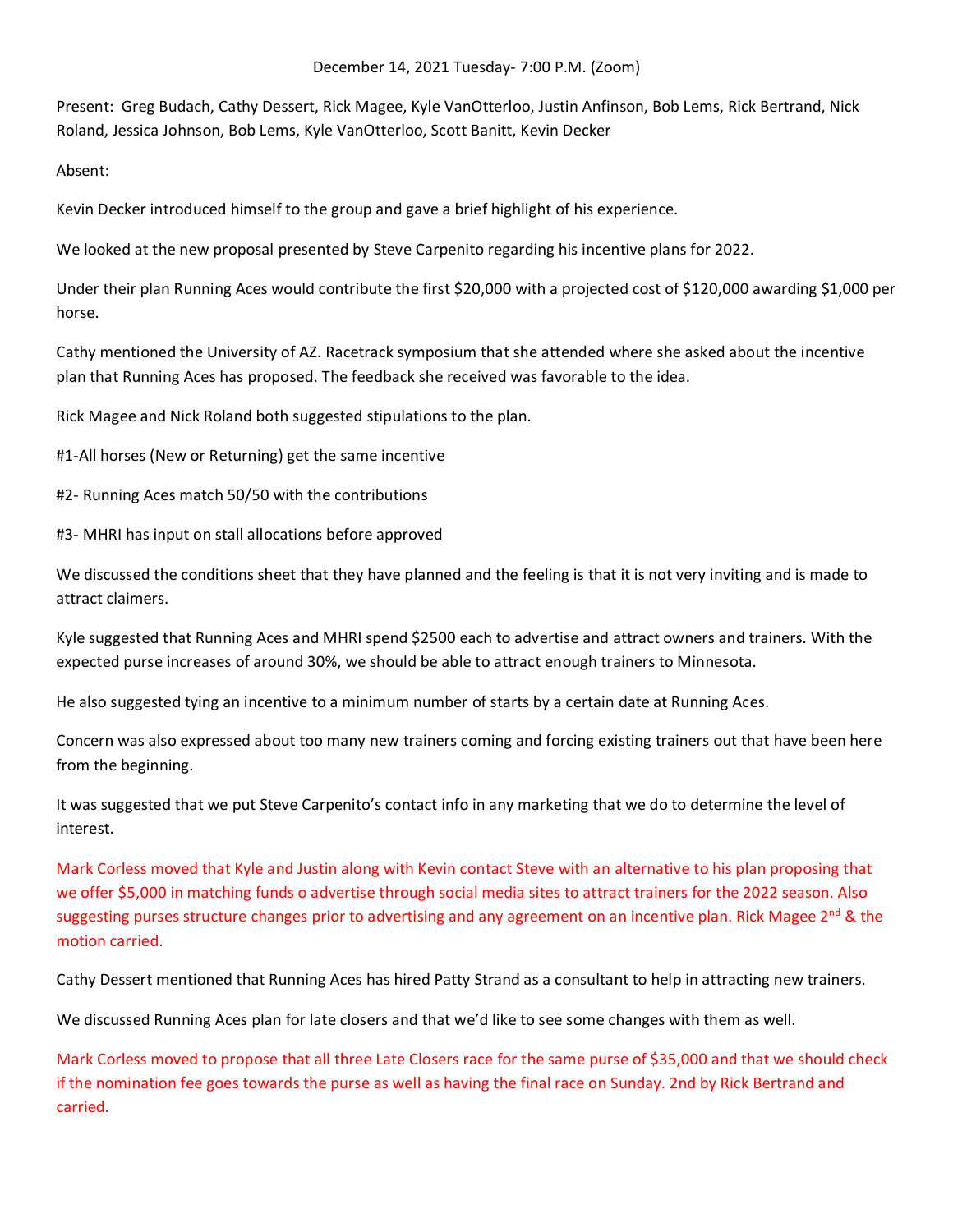## December 14, 2021 Tuesday- 7:00 P.M. (Zoom)

Present: Greg Budach, Cathy Dessert, Rick Magee, Kyle VanOtterloo, Justin Anfinson, Bob Lems, Rick Bertrand, Nick Roland, Jessica Johnson, Bob Lems, Kyle VanOtterloo, Scott Banitt, Kevin Decker

Absent:

Kevin Decker introduced himself to the group and gave a brief highlight of his experience.

We looked at the new proposal presented by Steve Carpenito regarding his incentive plans for 2022.

Under their plan Running Aces would contribute the first \$20,000 with a projected cost of \$120,000 awarding \$1,000 per horse.

Cathy mentioned the University of AZ. Racetrack symposium that she attended where she asked about the incentive plan that Running Aces has proposed. The feedback she received was favorable to the idea.

Rick Magee and Nick Roland both suggested stipulations to the plan.

#1-All horses (New or Returning) get the same incentive

#2- Running Aces match 50/50 with the contributions

#3- MHRI has input on stall allocations before approved

We discussed the conditions sheet that they have planned and the feeling is that it is not very inviting and is made to attract claimers.

Kyle suggested that Running Aces and MHRI spend \$2500 each to advertise and attract owners and trainers. With the expected purse increases of around 30%, we should be able to attract enough trainers to Minnesota.

He also suggested tying an incentive to a minimum number of starts by a certain date at Running Aces.

Concern was also expressed about too many new trainers coming and forcing existing trainers out that have been here from the beginning.

It was suggested that we put Steve Carpenito's contact info in any marketing that we do to determine the level of interest.

Mark Corless moved that Kyle and Justin along with Kevin contact Steve with an alternative to his plan proposing that we offer \$5,000 in matching funds o advertise through social media sites to attract trainers for the 2022 season. Also suggesting purses structure changes prior to advertising and any agreement on an incentive plan. Rick Magee  $2^{nd}$  & the motion carried.

Cathy Dessert mentioned that Running Aces has hired Patty Strand as a consultant to help in attracting new trainers.

We discussed Running Aces plan for late closers and that we'd like to see some changes with them as well.

Mark Corless moved to propose that all three Late Closers race for the same purse of \$35,000 and that we should check if the nomination fee goes towards the purse as well as having the final race on Sunday. 2nd by Rick Bertrand and carried.